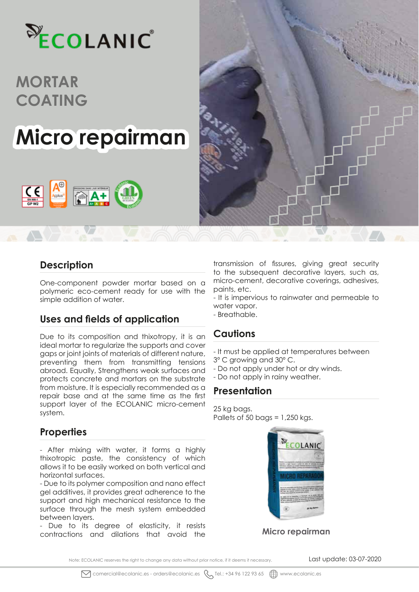

# **Micro repairman**





#### **Description**

One-component powder mortar based on a polymeric eco-cement ready for use with the simple addition of water.

#### **Uses and fields of application**

Due to its composition and thixotropy, it is an ideal mortar to regularize the supports and cover gaps or joint joints of materials of different nature, preventing them from transmitting tensions abroad. Equally, Strengthens weak surfaces and protects concrete and mortars on the substrate from moisture. It is especially recommended as a repair base and at the same time as the first support layer of the ECOLANIC micro-cement system.

### **Properties**

- After mixing with water, it forms a highly thixotropic paste, the consistency of which allows it to be easily worked on both vertical and horizontal surfaces.

- Due to its polymer composition and nano effect gel additives, it provides great adherence to the support and high mechanical resistance to the surface through the mesh system embedded between layers.

- Due to its degree of elasticity, it resists contractions and dilations that avoid the

transmission of fissures, giving great security to the subsequent decorative layers, such as, micro-cement, decorative coverings, adhesives, paints, etc.

- It is impervious to rainwater and permeable to water vapor.

- Breathable.

#### **Cautions**

- It must be applied at temperatures between 3º C growing and 30º C.
- Do not apply under hot or dry winds.
- Do not apply in rainy weather.

#### **Presentation**

25 kg bags. Pallets of 50 bags =  $1,250$  kgs.



#### **Micro repairman**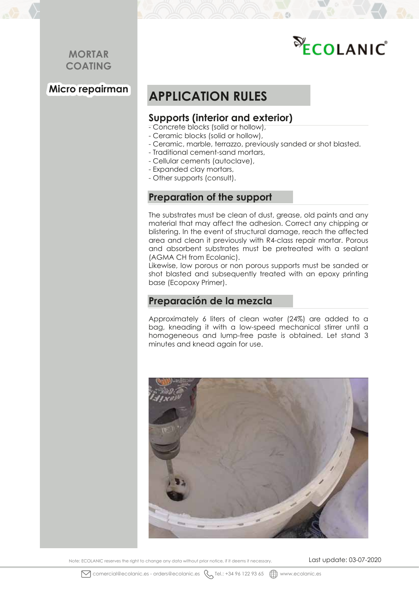**Micro repairman**

# ECOLANIC

# **APPLICATION RULES**

#### **Supports (interior and exterior)**

- Concrete blocks (solid or hollow),
- Ceramic blocks (solid or hollow),
- Ceramic, marble, terrazzo, previously sanded or shot blasted.
- Traditional cement-sand mortars,
- Cellular cements (autoclave),
- Expanded clay mortars,
- Other supports (consult).

#### **Preparation of the support**

The substrates must be clean of dust, grease, old paints and any material that may affect the adhesion. Correct any chipping or blistering. In the event of structural damage, reach the affected area and clean it previously with R4-class repair mortar. Porous and absorbent substrates must be pretreated with a sealant (AGMA CH from Ecolanic).

Likewise, low porous or non porous supports must be sanded or shot blasted and subsequently treated with an epoxy printing base (Ecopoxy Primer).

#### **Preparación de la mezcla**

Approximately 6 liters of clean water (24%) are added to a bag, kneading it with a low-speed mechanical stirrer until a homogeneous and lump-free paste is obtained. Let stand 3 minutes and knead again for use.



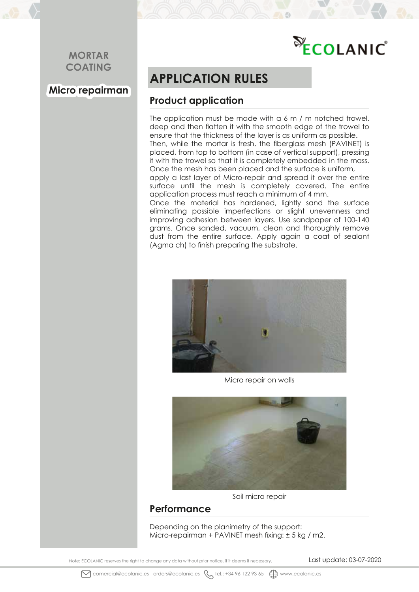# ECOLANIC

## **Micro repairman**

# **APPLICATION RULES**

### **Product application**

The application must be made with a 6 m / m notched trowel. deep and then flatten it with the smooth edge of the trowel to ensure that the thickness of the layer is as uniform as possible. Then, while the mortar is fresh, the fiberglass mesh (PAVINET) is placed, from top to bottom (in case of vertical support), pressing it with the trowel so that it is completely embedded in the mass.

Once the mesh has been placed and the surface is uniform, apply a last layer of Micro-repair and spread it over the entire surface until the mesh is completely covered. The entire application process must reach a minimum of 4 mm.

Once the material has hardened, lightly sand the surface eliminating possible imperfections or slight unevenness and improving adhesion between layers. Use sandpaper of 100-140 grams. Once sanded, vacuum, clean and thoroughly remove dust from the entire surface. Apply again a coat of sealant (Agma ch) to finish preparing the substrate.



Micro repair on walls



Soil micro repair

#### **Performance**

Depending on the planimetry of the support: Micro-repairman + PAVINET mesh fixing: ± 5 kg / m2.

Note: ECOLANIC reserves the right to change any data without prior notice, if it deems it necessary. Last update: 03-07-2020

 $\boxtimes$  comercial@ecolanic.es - orders@ecolanic.es  $\diagdown$  Tel.: +34 96 122 93 65  $\bigoplus$  www.ecolanic.es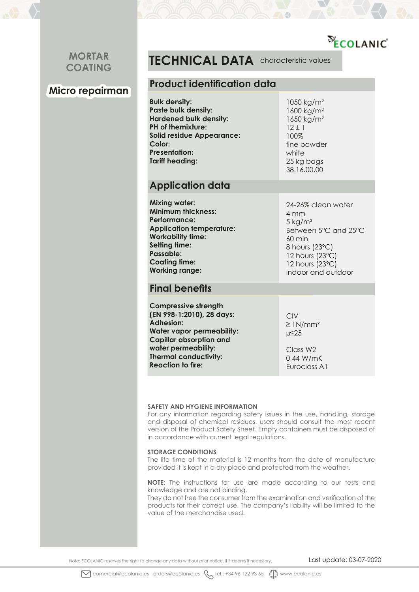# ECOLANIC

#### **MORTAR COATING**

### **Micro repairman**

## **TECHNICAL DATA** characteristic values

#### **Product identification data**

**Bulk density: Paste bulk density: Hardened bulk density: PH of themixture: Solid residue Appearance: Color: Presentation: Tariff heading:**

1050 kg/m2 1600 kg/m2 1650 kg/m2  $12 \pm 1$ 100% fine powder white 25 kg bags 38.16.00.00

#### **Application data**

**Mixing water: Minimum thickness: Performance: Application temperature: Workability time: Setting time: Passable: Coating time: Working range:**

24-26% clean water 4 mm  $5$  kg/m<sup>2</sup> Between 5ºC and 25ºC 60 min 8 hours (23ºC) 12 hours (23ºC) 12 hours (23ºC) Indoor and outdoor

#### **Final benefits**

**Compressive strength (EN 998-1:2010), 28 days: Adhesion: Water vapor permeability: Capillar absorption and water permeability: Thermal conductivity: Reaction to fire:**

CIV  $\geq$  1N/mm<sup>2</sup> µ≤25

Class W2 0,44 W/mK Euroclass A1

#### **SAFETY AND HYGIENE INFORMATION**

For any information regarding safety issues in the use, handling, storage and disposal of chemical residues, users should consult the most recent version of the Product Safety Sheet. Empty containers must be disposed of in accordance with current legal regulations.

#### **STORAGE CONDITIONS**

The life time of the material is 12 months from the date of manufacture provided it is kept in a dry place and protected from the weather.

**NOTE:** The instructions for use are made according to our tests and knowledge and are not binding.

They do not free the consumer from the examination and verification of the products for their correct use. The company's liability will be limited to the value of the merchandise used.

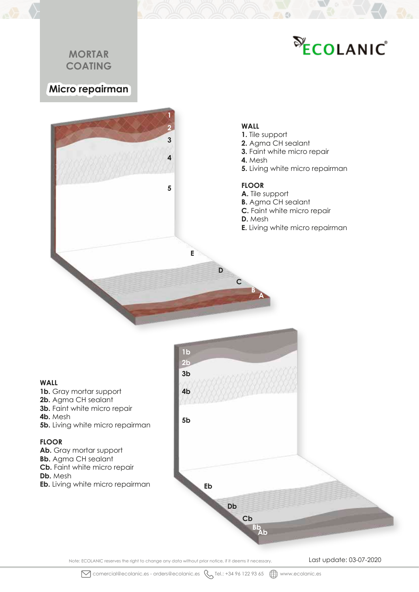# ECOLANIC

### **Micro repairman**



#### **WALL**

- **1.** Tile support
- **2.** Agma CH sealant
- **3.** Faint white micro repair
- **4.** Mesh
- **5.** Living white micro repairman

#### **FLOOR**

- **A.** Tile support
- **B.** Agma CH sealant
- **C.** Faint white micro repair
- **D.** Mesh

**A B**

**C**

**D**

**E.** Living white micro repairman

#### **WALL**

- 1**b.** Gray mortar support
- **2b.** Agma CH sealant
- **3b.** Faint white micro repair
- **4b.** Mesh
- **5b.** Living white micro repairman

#### **FLOOR**

- **Ab.** Gray mortar support
- **Bb.** Agma CH sealant
- **Cb.** Faint white micro repair
- **Db.** Mesh
- **Eb.** Living white micro repairman